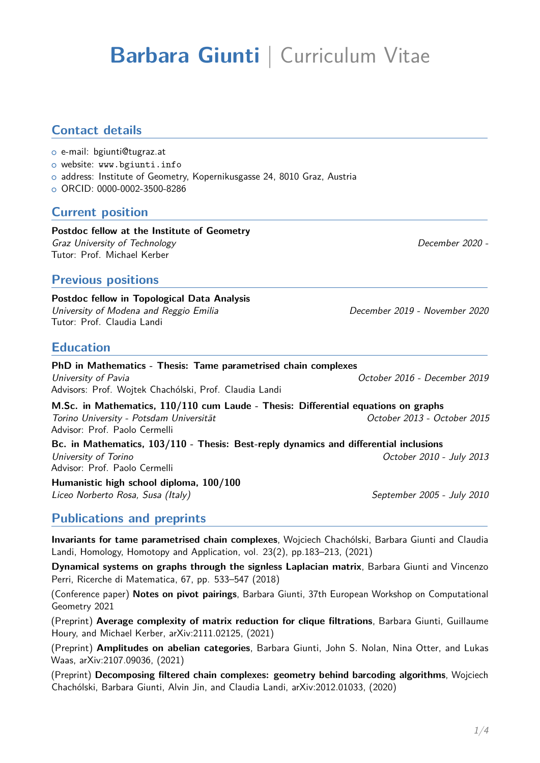# **Barbara Giunti** | Curriculum Vitae

#### **Contact details**

- o e-mail: bgiunti@tugraz.at
- o website: [www.bgiunti.info](http://www.bgiunti.info)
- o address: Institute of Geometry, Kopernikusgasse 24, 8010 Graz, Austria
- <sup>+</sup> ORCID: [0000-0002-3500-8286](https://orcid.org/0000-0002-3500-8286)

#### **Current position**

#### **Postdoc fellow at the Institute of Geometry** Graz University of Technology December 2020 - Tutor: Prof. Michael Kerber

#### **Previous positions**

**Postdoc fellow in Topological Data Analysis** University of Modena and Reggio Emilia **December 2019** - November 2020 Tutor: Prof. Claudia Landi

#### **Education**

**PhD in Mathematics - Thesis: Tame parametrised chain complexes** University of Pavia October 2016 - December 2019 Advisors: Prof. Wojtek Chachólski, Prof. Claudia Landi

**M.Sc. in Mathematics, 110/110 cum Laude - Thesis: Differential equations on graphs** Torino University - Potsdam Universität October 2013 - October 2015 Advisor: Prof. Paolo Cermelli

**Bc. in Mathematics, 103/110 - Thesis: Best-reply dynamics and differential inclusions** University of Torino **October 2010** - July 2013 Advisor: Prof. Paolo Cermelli

**Humanistic high school diploma, 100/100** Liceo Norberto Rosa, Susa (Italy) September 2005 - July 2010

**Publications and preprints**

**Invariants for tame parametrised chain complexes**, Wojciech Chachólski, Barbara Giunti and Claudia Landi, Homology, Homotopy and Application, vol. 23(2), pp.183–213, (2021)

**Dynamical systems on graphs through the signless Laplacian matrix**, Barbara Giunti and Vincenzo Perri, Ricerche di Matematica, 67, pp. 533–547 (2018)

(Conference paper) **Notes on pivot pairings**, Barbara Giunti, 37th European Workshop on Computational Geometry 2021

(Preprint) **Average complexity of matrix reduction for clique filtrations**, Barbara Giunti, Guillaume Houry, and Michael Kerber, arXiv:2111.02125, (2021)

(Preprint) **Amplitudes on abelian categories**, Barbara Giunti, John S. Nolan, Nina Otter, and Lukas Waas, arXiv:2107.09036, (2021)

(Preprint) **Decomposing filtered chain complexes: geometry behind barcoding algorithms**, Wojciech Chachólski, Barbara Giunti, Alvin Jin, and Claudia Landi, arXiv:2012.01033, (2020)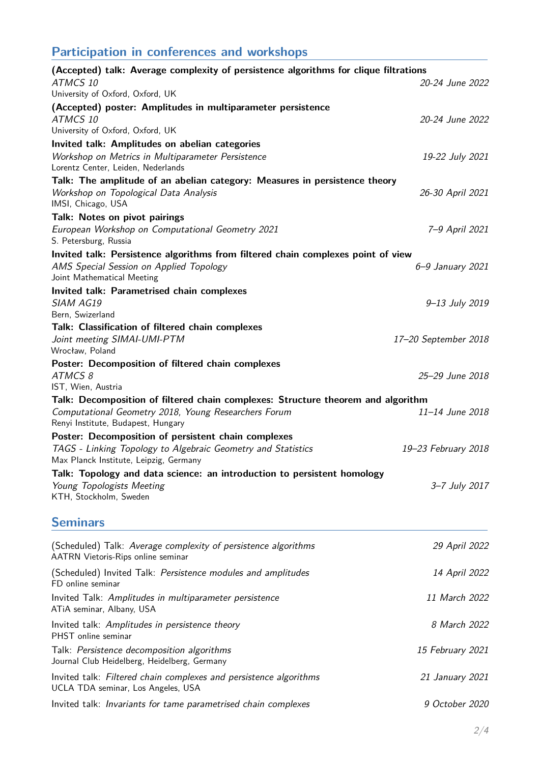## **Participation in conferences and workshops**

| (Accepted) talk: Average complexity of persistence algorithms for clique filtrations                                                                                           |                      |  |
|--------------------------------------------------------------------------------------------------------------------------------------------------------------------------------|----------------------|--|
| ATMCS 10<br>University of Oxford, Oxford, UK                                                                                                                                   | 20-24 June 2022      |  |
| (Accepted) poster: Amplitudes in multiparameter persistence                                                                                                                    |                      |  |
| ATMCS 10                                                                                                                                                                       | 20-24 June 2022      |  |
| University of Oxford, Oxford, UK                                                                                                                                               |                      |  |
| Invited talk: Amplitudes on abelian categories                                                                                                                                 |                      |  |
| Workshop on Metrics in Multiparameter Persistence<br>Lorentz Center, Leiden, Nederlands                                                                                        | 19-22 July 2021      |  |
| Talk: The amplitude of an abelian category: Measures in persistence theory<br>Workshop on Topological Data Analysis<br>IMSI, Chicago, USA                                      | 26-30 April 2021     |  |
| Talk: Notes on pivot pairings                                                                                                                                                  |                      |  |
| European Workshop on Computational Geometry 2021<br>S. Petersburg, Russia                                                                                                      | 7-9 April 2021       |  |
| Invited talk: Persistence algorithms from filtered chain complexes point of view                                                                                               |                      |  |
| AMS Special Session on Applied Topology<br>Joint Mathematical Meeting                                                                                                          | 6-9 January 2021     |  |
| Invited talk: Parametrised chain complexes                                                                                                                                     |                      |  |
| <b>SIAM AG19</b><br>Bern, Swizerland                                                                                                                                           | 9-13 July 2019       |  |
| Talk: Classification of filtered chain complexes                                                                                                                               |                      |  |
| Joint meeting SIMAI-UMI-PTM<br>Wrocław, Poland                                                                                                                                 | 17-20 September 2018 |  |
| Poster: Decomposition of filtered chain complexes<br>ATMCS 8                                                                                                                   | 25-29 June 2018      |  |
| IST, Wien, Austria                                                                                                                                                             |                      |  |
| Talk: Decomposition of filtered chain complexes: Structure theorem and algorithm<br>Computational Geometry 2018, Young Researchers Forum<br>Renyi Institute, Budapest, Hungary | 11-14 June 2018      |  |
| Poster: Decomposition of persistent chain complexes                                                                                                                            |                      |  |
| TAGS - Linking Topology to Algebraic Geometry and Statistics<br>Max Planck Institute, Leipzig, Germany                                                                         | 19-23 February 2018  |  |
| Talk: Topology and data science: an introduction to persistent homology                                                                                                        |                      |  |
| Young Topologists Meeting<br>KTH, Stockholm, Sweden                                                                                                                            | 3-7 July 2017        |  |
| <b>Seminars</b>                                                                                                                                                                |                      |  |
| (Scheduled) Talk: Average complexity of persistence algorithms<br>AATRN Vietoris-Rips online seminar                                                                           | 29 April 2022        |  |
| (Scheduled) Invited Talk: Persistence modules and amplitudes<br>FD online seminar                                                                                              | 14 April 2022        |  |
| Invited Talk: Amplitudes in multiparameter persistence<br>ATIA seminar, Albany, USA                                                                                            | 11 March 2022        |  |
| Invited talk: Amplitudes in persistence theory<br>PHST online seminar                                                                                                          | 8 March 2022         |  |
| Talk: Persistence decomposition algorithms<br>Journal Club Heidelberg, Heidelberg, Germany                                                                                     | 15 February 2021     |  |
| Invited talk: Filtered chain complexes and persistence algorithms<br>UCLA TDA seminar, Los Angeles, USA                                                                        | 21 January 2021      |  |
| Invited talk: Invariants for tame parametrised chain complexes                                                                                                                 | 9 October 2020       |  |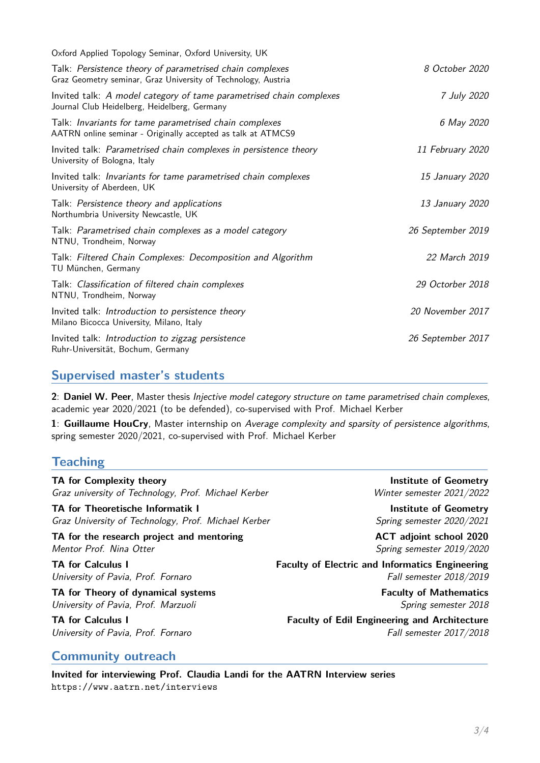| Oxford Applied Topology Seminar, Oxford University, UK                                                                    |                   |
|---------------------------------------------------------------------------------------------------------------------------|-------------------|
| Talk: Persistence theory of parametrised chain complexes<br>Graz Geometry seminar, Graz University of Technology, Austria | 8 October 2020    |
| Invited talk: A model category of tame parametrised chain complexes<br>Journal Club Heidelberg, Heidelberg, Germany       | 7 July 2020       |
| Talk: Invariants for tame parametrised chain complexes<br>AATRN online seminar - Originally accepted as talk at ATMCS9    | 6 May 2020        |
| Invited talk: Parametrised chain complexes in persistence theory<br>University of Bologna, Italy                          | 11 February 2020  |
| Invited talk: Invariants for tame parametrised chain complexes<br>University of Aberdeen, UK                              | 15 January 2020   |
| Talk: Persistence theory and applications<br>Northumbria University Newcastle, UK                                         | 13 January 2020   |
| Talk: Parametrised chain complexes as a model category<br>NTNU, Trondheim, Norway                                         | 26 September 2019 |
| Talk: Filtered Chain Complexes: Decomposition and Algorithm<br>TU München, Germany                                        | 22 March 2019     |
| Talk: Classification of filtered chain complexes<br>NTNU, Trondheim, Norway                                               | 29 Octorber 2018  |
| Invited talk: Introduction to persistence theory<br>Milano Bicocca University, Milano, Italy                              | 20 November 2017  |
| Invited talk: Introduction to zigzag persistence<br>Ruhr-Universität, Bochum, Germany                                     | 26 September 2017 |
|                                                                                                                           |                   |

#### **Supervised master's students**

**2**: **Daniel W. Peer**, Master thesis Injective model category structure on tame parametrised chain complexes, academic year 2020/2021 (to be defended), co-supervised with Prof. Michael Kerber

**1**: **Guillaume HouCry**, Master internship on Average complexity and sparsity of persistence algorithms, spring semester 2020/2021, co-supervised with Prof. Michael Kerber

#### **Teaching**

**TA for Complexity theory Complexity institute of Geometry** Graz university of Technology, Prof. Michael Kerber Winter semester 2021/2022

**TA for Theoretische Informatik I institute of Geometry** Graz University of Technology, Prof. Michael Kerber Summan Spring semester 2020/2021

**TA** for the research project and mentoring **ACT** adjoint school 2020 Mentor Prof. Nina Otter Spring semester 2019/2020

**TA for Theory of dynamical systems** FACULT **Faculty of Mathematics** University of Pavia, Prof. Marzuoli Spring semester 2018

**TA for Calculus I Faculty of Electric and Informatics Engineering** University of Pavia, Prof. Fornaro Fall semester 2018/2019

**TA for Calculus I Faculty of Edil Engineering and Architecture** University of Pavia, Prof. Fornaro Fall semester 2017/2018

#### **Community outreach**

**Invited for interviewing Prof. Claudia Landi for the AATRN Interview series** <https://www.aatrn.net/interviews>